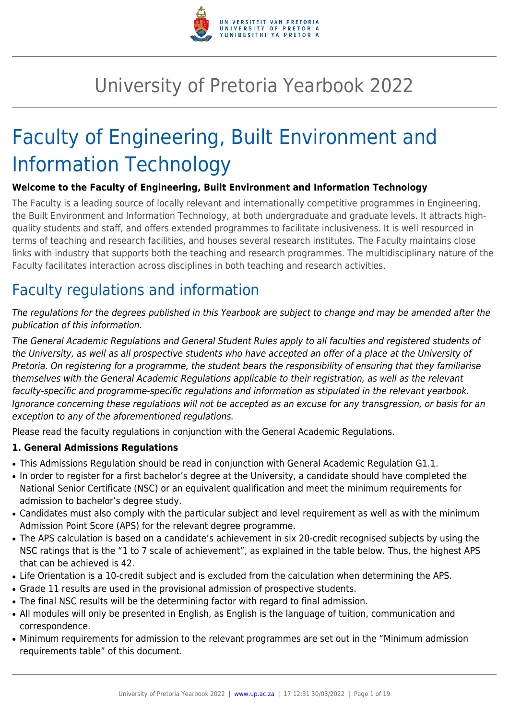

# University of Pretoria Yearbook 2022

# Faculty of Engineering, Built Environment and Information Technology

# **Welcome to the Faculty of Engineering, Built Environment and Information Technology**

The Faculty is a leading source of locally relevant and internationally competitive programmes in Engineering, the Built Environment and Information Technology, at both undergraduate and graduate levels. It attracts highquality students and staff, and offers extended programmes to facilitate inclusiveness. It is well resourced in terms of teaching and research facilities, and houses several research institutes. The Faculty maintains close links with industry that supports both the teaching and research programmes. The multidisciplinary nature of the Faculty facilitates interaction across disciplines in both teaching and research activities.

# Faculty regulations and information

The regulations for the degrees published in this Yearbook are subject to change and may be amended after the publication of this information.

The General Academic Regulations and General Student Rules apply to all faculties and registered students of the University, as well as all prospective students who have accepted an offer of a place at the University of Pretoria. On registering for a programme, the student bears the responsibility of ensuring that they familiarise themselves with the General Academic Regulations applicable to their registration, as well as the relevant faculty-specific and programme-specific regulations and information as stipulated in the relevant yearbook. Ignorance concerning these regulations will not be accepted as an excuse for any transgression, or basis for an exception to any of the aforementioned regulations.

Please read the faculty regulations in conjunction with the General Academic Regulations.

# **1. General Admissions Regulations**

- This Admissions Regulation should be read in conjunction with General Academic Regulation G1.1.
- In order to register for a first bachelor's degree at the University, a candidate should have completed the National Senior Certificate (NSC) or an equivalent qualification and meet the minimum requirements for admission to bachelor's degree study.
- Candidates must also comply with the particular subject and level requirement as well as with the minimum Admission Point Score (APS) for the relevant degree programme.
- The APS calculation is based on a candidate's achievement in six 20-credit recognised subjects by using the NSC ratings that is the "1 to 7 scale of achievement", as explained in the table below. Thus, the highest APS that can be achieved is 42.
- Life Orientation is a 10-credit subject and is excluded from the calculation when determining the APS.
- Grade 11 results are used in the provisional admission of prospective students.
- The final NSC results will be the determining factor with regard to final admission.
- All modules will only be presented in English, as English is the language of tuition, communication and correspondence.
- Minimum requirements for admission to the relevant programmes are set out in the "Minimum admission requirements table" of this document.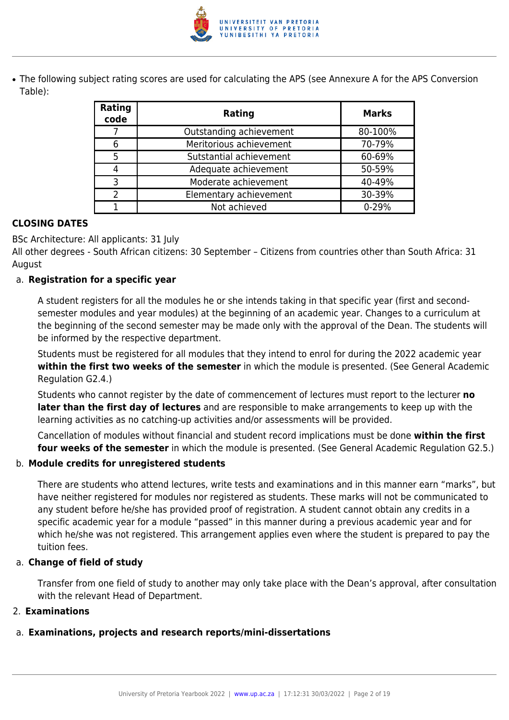

• The following subject rating scores are used for calculating the APS (see Annexure A for the APS Conversion Table):

| Rating<br>code | Rating                  | <b>Marks</b> |
|----------------|-------------------------|--------------|
|                | Outstanding achievement | 80-100%      |
| 6              | Meritorious achievement | 70-79%       |
| 5              | Sutstantial achievement | 60-69%       |
|                | Adequate achievement    | 50-59%       |
| ੨              | Moderate achievement    | 40-49%       |
| າ              | Elementary achievement  | 30-39%       |
|                | Not achieved            | $0 - 29%$    |

# **CLOSING DATES**

BSc Architecture: All applicants: 31 July

All other degrees - South African citizens: 30 September – Citizens from countries other than South Africa: 31 August

# a. **Registration for a specific year**

A student registers for all the modules he or she intends taking in that specific year (first and secondsemester modules and year modules) at the beginning of an academic year. Changes to a curriculum at the beginning of the second semester may be made only with the approval of the Dean. The students will be informed by the respective department.

Students must be registered for all modules that they intend to enrol for during the 2022 academic year **within the first two weeks of the semester** in which the module is presented. (See General Academic Regulation G2.4.)

Students who cannot register by the date of commencement of lectures must report to the lecturer **no later than the first day of lectures** and are responsible to make arrangements to keep up with the learning activities as no catching-up activities and/or assessments will be provided.

Cancellation of modules without financial and student record implications must be done **within the first four weeks of the semester** in which the module is presented. (See General Academic Regulation G2.5.)

# b. **Module credits for unregistered students**

There are students who attend lectures, write tests and examinations and in this manner earn "marks", but have neither registered for modules nor registered as students. These marks will not be communicated to any student before he/she has provided proof of registration. A student cannot obtain any credits in a specific academic year for a module "passed" in this manner during a previous academic year and for which he/she was not registered. This arrangement applies even where the student is prepared to pay the tuition fees.

# a. **Change of field of study**

Transfer from one field of study to another may only take place with the Dean's approval, after consultation with the relevant Head of Department.

# 2. **Examinations**

# a. **Examinations, projects and research reports/mini-dissertations**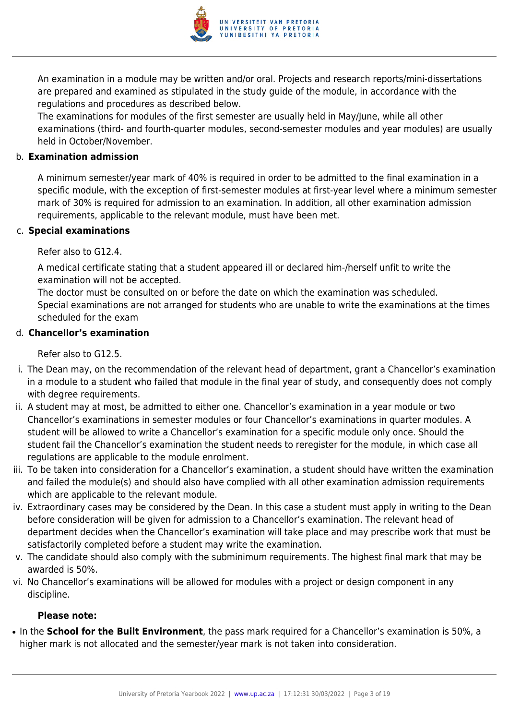

An examination in a module may be written and/or oral. Projects and research reports/mini-dissertations are prepared and examined as stipulated in the study guide of the module, in accordance with the regulations and procedures as described below.

The examinations for modules of the first semester are usually held in May/June, while all other examinations (third- and fourth-quarter modules, second-semester modules and year modules) are usually held in October/November.

#### b. **Examination admission**

A minimum semester/year mark of 40% is required in order to be admitted to the final examination in a specific module, with the exception of first-semester modules at first-year level where a minimum semester mark of 30% is required for admission to an examination. In addition, all other examination admission requirements, applicable to the relevant module, must have been met.

#### c. **Special examinations**

Refer also to G12.4.

A medical certificate stating that a student appeared ill or declared him-/herself unfit to write the examination will not be accepted.

The doctor must be consulted on or before the date on which the examination was scheduled. Special examinations are not arranged for students who are unable to write the examinations at the times scheduled for the exam

# d. **Chancellor's examination**

Refer also to G12.5.

- i. The Dean may, on the recommendation of the relevant head of department, grant a Chancellor's examination in a module to a student who failed that module in the final year of study, and consequently does not comply with degree requirements.
- ii. A student may at most, be admitted to either one. Chancellor's examination in a year module or two Chancellor's examinations in semester modules or four Chancellor's examinations in quarter modules. A student will be allowed to write a Chancellor's examination for a specific module only once. Should the student fail the Chancellor's examination the student needs to reregister for the module, in which case all regulations are applicable to the module enrolment.
- iii. To be taken into consideration for a Chancellor's examination, a student should have written the examination and failed the module(s) and should also have complied with all other examination admission requirements which are applicable to the relevant module.
- iv. Extraordinary cases may be considered by the Dean. In this case a student must apply in writing to the Dean before consideration will be given for admission to a Chancellor's examination. The relevant head of department decides when the Chancellor's examination will take place and may prescribe work that must be satisfactorily completed before a student may write the examination.
- v. The candidate should also comply with the subminimum requirements. The highest final mark that may be awarded is 50%.
- vi. No Chancellor's examinations will be allowed for modules with a project or design component in any discipline.

#### **Please note:**

● In the **School for the Built Environment**, the pass mark required for a Chancellor's examination is 50%, a higher mark is not allocated and the semester/year mark is not taken into consideration.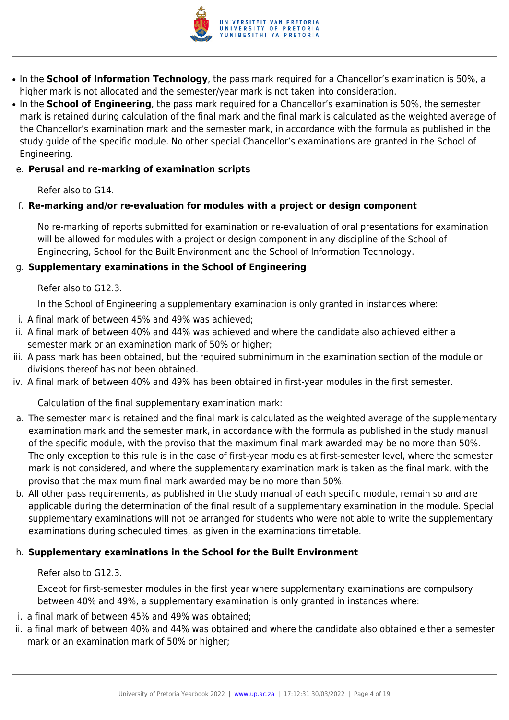

- In the **School of Information Technology**, the pass mark required for a Chancellor's examination is 50%, a higher mark is not allocated and the semester/year mark is not taken into consideration.
- In the **School of Engineering**, the pass mark required for a Chancellor's examination is 50%, the semester mark is retained during calculation of the final mark and the final mark is calculated as the weighted average of the Chancellor's examination mark and the semester mark, in accordance with the formula as published in the study guide of the specific module. No other special Chancellor's examinations are granted in the School of Engineering.

# e. **Perusal and re-marking of examination scripts**

Refer also to G14.

# f. **Re-marking and/or re-evaluation for modules with a project or design component**

No re-marking of reports submitted for examination or re-evaluation of oral presentations for examination will be allowed for modules with a project or design component in any discipline of the School of Engineering, School for the Built Environment and the School of Information Technology.

# g. **Supplementary examinations in the School of Engineering**

Refer also to G12.3.

In the School of Engineering a supplementary examination is only granted in instances where:

- i. A final mark of between 45% and 49% was achieved;
- ii. A final mark of between 40% and 44% was achieved and where the candidate also achieved either a semester mark or an examination mark of 50% or higher;
- iii. A pass mark has been obtained, but the required subminimum in the examination section of the module or divisions thereof has not been obtained.
- iv. A final mark of between 40% and 49% has been obtained in first-year modules in the first semester.

Calculation of the final supplementary examination mark:

- a. The semester mark is retained and the final mark is calculated as the weighted average of the supplementary examination mark and the semester mark, in accordance with the formula as published in the study manual of the specific module, with the proviso that the maximum final mark awarded may be no more than 50%. The only exception to this rule is in the case of first-year modules at first-semester level, where the semester mark is not considered, and where the supplementary examination mark is taken as the final mark, with the proviso that the maximum final mark awarded may be no more than 50%.
- b. All other pass requirements, as published in the study manual of each specific module, remain so and are applicable during the determination of the final result of a supplementary examination in the module. Special supplementary examinations will not be arranged for students who were not able to write the supplementary examinations during scheduled times, as given in the examinations timetable.

# h. **Supplementary examinations in the School for the Built Environment**

Refer also to G12.3.

Except for first-semester modules in the first year where supplementary examinations are compulsory between 40% and 49%, a supplementary examination is only granted in instances where:

- i. a final mark of between 45% and 49% was obtained;
- ii. a final mark of between 40% and 44% was obtained and where the candidate also obtained either a semester mark or an examination mark of 50% or higher;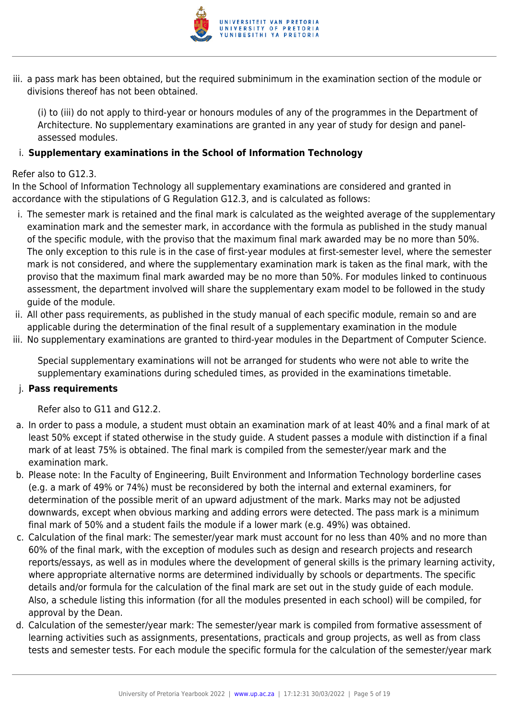

iii. a pass mark has been obtained, but the required subminimum in the examination section of the module or divisions thereof has not been obtained.

(i) to (iii) do not apply to third-year or honours modules of any of the programmes in the Department of Architecture. No supplementary examinations are granted in any year of study for design and panelassessed modules.

# i. **Supplementary examinations in the School of Information Technology**

# Refer also to G12.3.

In the School of Information Technology all supplementary examinations are considered and granted in accordance with the stipulations of G Regulation G12.3, and is calculated as follows:

- i. The semester mark is retained and the final mark is calculated as the weighted average of the supplementary examination mark and the semester mark, in accordance with the formula as published in the study manual of the specific module, with the proviso that the maximum final mark awarded may be no more than 50%. The only exception to this rule is in the case of first-year modules at first-semester level, where the semester mark is not considered, and where the supplementary examination mark is taken as the final mark, with the proviso that the maximum final mark awarded may be no more than 50%. For modules linked to continuous assessment, the department involved will share the supplementary exam model to be followed in the study guide of the module.
- ii. All other pass requirements, as published in the study manual of each specific module, remain so and are applicable during the determination of the final result of a supplementary examination in the module
- iii. No supplementary examinations are granted to third-year modules in the Department of Computer Science.

Special supplementary examinations will not be arranged for students who were not able to write the supplementary examinations during scheduled times, as provided in the examinations timetable.

# j. **Pass requirements**

Refer also to G11 and G12.2.

- a. In order to pass a module, a student must obtain an examination mark of at least 40% and a final mark of at least 50% except if stated otherwise in the study guide. A student passes a module with distinction if a final mark of at least 75% is obtained. The final mark is compiled from the semester/year mark and the examination mark.
- b. Please note: In the Faculty of Engineering, Built Environment and Information Technology borderline cases (e.g. a mark of 49% or 74%) must be reconsidered by both the internal and external examiners, for determination of the possible merit of an upward adjustment of the mark. Marks may not be adjusted downwards, except when obvious marking and adding errors were detected. The pass mark is a minimum final mark of 50% and a student fails the module if a lower mark (e.g. 49%) was obtained.
- c. Calculation of the final mark: The semester/year mark must account for no less than 40% and no more than 60% of the final mark, with the exception of modules such as design and research projects and research reports/essays, as well as in modules where the development of general skills is the primary learning activity, where appropriate alternative norms are determined individually by schools or departments. The specific details and/or formula for the calculation of the final mark are set out in the study guide of each module. Also, a schedule listing this information (for all the modules presented in each school) will be compiled, for approval by the Dean.
- d. Calculation of the semester/year mark: The semester/year mark is compiled from formative assessment of learning activities such as assignments, presentations, practicals and group projects, as well as from class tests and semester tests. For each module the specific formula for the calculation of the semester/year mark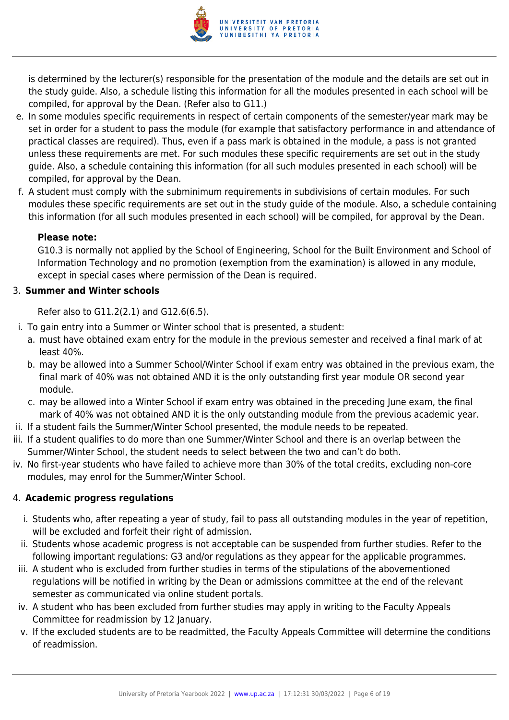

is determined by the lecturer(s) responsible for the presentation of the module and the details are set out in the study guide. Also, a schedule listing this information for all the modules presented in each school will be compiled, for approval by the Dean. (Refer also to G11.)

- e. In some modules specific requirements in respect of certain components of the semester/year mark may be set in order for a student to pass the module (for example that satisfactory performance in and attendance of practical classes are required). Thus, even if a pass mark is obtained in the module, a pass is not granted unless these requirements are met. For such modules these specific requirements are set out in the study guide. Also, a schedule containing this information (for all such modules presented in each school) will be compiled, for approval by the Dean.
- f. A student must comply with the subminimum requirements in subdivisions of certain modules. For such modules these specific requirements are set out in the study guide of the module. Also, a schedule containing this information (for all such modules presented in each school) will be compiled, for approval by the Dean.

#### **Please note:**

G10.3 is normally not applied by the School of Engineering, School for the Built Environment and School of Information Technology and no promotion (exemption from the examination) is allowed in any module, except in special cases where permission of the Dean is required.

# 3. **Summer and Winter schools**

Refer also to G11.2(2.1) and G12.6(6.5).

- i. To gain entry into a Summer or Winter school that is presented, a student:
	- a. must have obtained exam entry for the module in the previous semester and received a final mark of at least 40%.
	- b. may be allowed into a Summer School/Winter School if exam entry was obtained in the previous exam, the final mark of 40% was not obtained AND it is the only outstanding first year module OR second year module.
	- c. may be allowed into a Winter School if exam entry was obtained in the preceding June exam, the final mark of 40% was not obtained AND it is the only outstanding module from the previous academic year.
- ii. If a student fails the Summer/Winter School presented, the module needs to be repeated.
- iii. If a student qualifies to do more than one Summer/Winter School and there is an overlap between the Summer/Winter School, the student needs to select between the two and can't do both.
- iv. No first-year students who have failed to achieve more than 30% of the total credits, excluding non-core modules, may enrol for the Summer/Winter School.

# 4. **Academic progress regulations**

- i. Students who, after repeating a year of study, fail to pass all outstanding modules in the year of repetition, will be excluded and forfeit their right of admission.
- ii. Students whose academic progress is not acceptable can be suspended from further studies. Refer to the following important regulations: G3 and/or regulations as they appear for the applicable programmes.
- iii. A student who is excluded from further studies in terms of the stipulations of the abovementioned regulations will be notified in writing by the Dean or admissions committee at the end of the relevant semester as communicated via online student portals.
- iv. A student who has been excluded from further studies may apply in writing to the Faculty Appeals Committee for readmission by 12 January.
- v. If the excluded students are to be readmitted, the Faculty Appeals Committee will determine the conditions of readmission.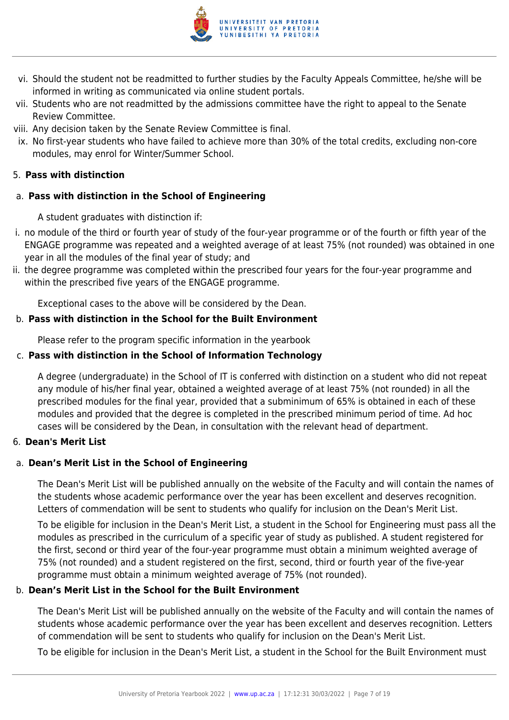

- vi. Should the student not be readmitted to further studies by the Faculty Appeals Committee, he/she will be informed in writing as communicated via online student portals.
- vii. Students who are not readmitted by the admissions committee have the right to appeal to the Senate Review Committee.
- viii. Any decision taken by the Senate Review Committee is final.
- ix. No first-year students who have failed to achieve more than 30% of the total credits, excluding non-core modules, may enrol for Winter/Summer School.

# 5. **Pass with distinction**

# a. **Pass with distinction in the School of Engineering**

A student graduates with distinction if:

- i. no module of the third or fourth year of study of the four-year programme or of the fourth or fifth year of the ENGAGE programme was repeated and a weighted average of at least 75% (not rounded) was obtained in one year in all the modules of the final year of study; and
- ii. the degree programme was completed within the prescribed four years for the four-year programme and within the prescribed five years of the ENGAGE programme.

Exceptional cases to the above will be considered by the Dean.

# b. **Pass with distinction in the School for the Built Environment**

Please refer to the program specific information in the yearbook

# c. **Pass with distinction in the School of Information Technology**

A degree (undergraduate) in the School of IT is conferred with distinction on a student who did not repeat any module of his/her final year, obtained a weighted average of at least 75% (not rounded) in all the prescribed modules for the final year, provided that a subminimum of 65% is obtained in each of these modules and provided that the degree is completed in the prescribed minimum period of time. Ad hoc cases will be considered by the Dean, in consultation with the relevant head of department.

# 6. **Dean's Merit List**

# a. **Dean's Merit List in the School of Engineering**

The Dean's Merit List will be published annually on the website of the Faculty and will contain the names of the students whose academic performance over the year has been excellent and deserves recognition. Letters of commendation will be sent to students who qualify for inclusion on the Dean's Merit List.

To be eligible for inclusion in the Dean's Merit List, a student in the School for Engineering must pass all the modules as prescribed in the curriculum of a specific year of study as published. A student registered for the first, second or third year of the four-year programme must obtain a minimum weighted average of 75% (not rounded) and a student registered on the first, second, third or fourth year of the five-year programme must obtain a minimum weighted average of 75% (not rounded).

# b. **Dean's Merit List in the School for the Built Environment**

The Dean's Merit List will be published annually on the website of the Faculty and will contain the names of students whose academic performance over the year has been excellent and deserves recognition. Letters of commendation will be sent to students who qualify for inclusion on the Dean's Merit List.

To be eligible for inclusion in the Dean's Merit List, a student in the School for the Built Environment must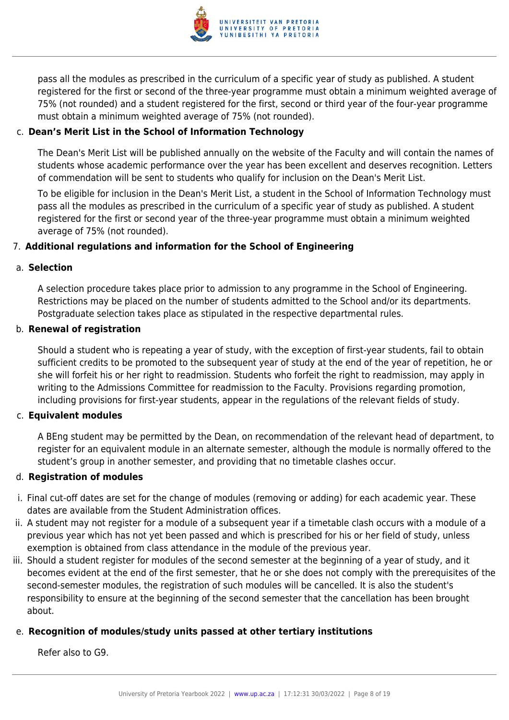

pass all the modules as prescribed in the curriculum of a specific year of study as published. A student registered for the first or second of the three-year programme must obtain a minimum weighted average of 75% (not rounded) and a student registered for the first, second or third year of the four-year programme must obtain a minimum weighted average of 75% (not rounded).

# c. **Dean's Merit List in the School of Information Technology**

The Dean's Merit List will be published annually on the website of the Faculty and will contain the names of students whose academic performance over the year has been excellent and deserves recognition. Letters of commendation will be sent to students who qualify for inclusion on the Dean's Merit List.

To be eligible for inclusion in the Dean's Merit List, a student in the School of Information Technology must pass all the modules as prescribed in the curriculum of a specific year of study as published. A student registered for the first or second year of the three-year programme must obtain a minimum weighted average of 75% (not rounded).

# 7. **Additional regulations and information for the School of Engineering**

#### a. **Selection**

A selection procedure takes place prior to admission to any programme in the School of Engineering. Restrictions may be placed on the number of students admitted to the School and/or its departments. Postgraduate selection takes place as stipulated in the respective departmental rules.

#### b. **Renewal of registration**

Should a student who is repeating a year of study, with the exception of first-year students, fail to obtain sufficient credits to be promoted to the subsequent year of study at the end of the year of repetition, he or she will forfeit his or her right to readmission. Students who forfeit the right to readmission, may apply in writing to the Admissions Committee for readmission to the Faculty. Provisions regarding promotion, including provisions for first-year students, appear in the regulations of the relevant fields of study.

# c. **Equivalent modules**

A BEng student may be permitted by the Dean, on recommendation of the relevant head of department, to register for an equivalent module in an alternate semester, although the module is normally offered to the student's group in another semester, and providing that no timetable clashes occur.

# d. **Registration of modules**

- i. Final cut-off dates are set for the change of modules (removing or adding) for each academic year. These dates are available from the Student Administration offices.
- ii. A student may not register for a module of a subsequent year if a timetable clash occurs with a module of a previous year which has not yet been passed and which is prescribed for his or her field of study, unless exemption is obtained from class attendance in the module of the previous year.
- iii. Should a student register for modules of the second semester at the beginning of a year of study, and it becomes evident at the end of the first semester, that he or she does not comply with the prerequisites of the second-semester modules, the registration of such modules will be cancelled. It is also the student's responsibility to ensure at the beginning of the second semester that the cancellation has been brought about.

# e. **Recognition of modules/study units passed at other tertiary institutions**

Refer also to G9.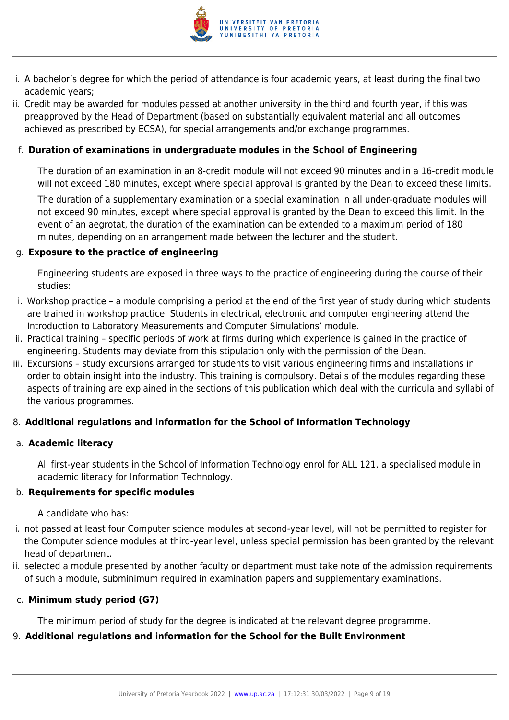

- i. A bachelor's degree for which the period of attendance is four academic years, at least during the final two academic years;
- ii. Credit may be awarded for modules passed at another university in the third and fourth year, if this was preapproved by the Head of Department (based on substantially equivalent material and all outcomes achieved as prescribed by ECSA), for special arrangements and/or exchange programmes.

# f. **Duration of examinations in undergraduate modules in the School of Engineering**

The duration of an examination in an 8-credit module will not exceed 90 minutes and in a 16-credit module will not exceed 180 minutes, except where special approval is granted by the Dean to exceed these limits.

The duration of a supplementary examination or a special examination in all under-graduate modules will not exceed 90 minutes, except where special approval is granted by the Dean to exceed this limit. In the event of an aegrotat, the duration of the examination can be extended to a maximum period of 180 minutes, depending on an arrangement made between the lecturer and the student.

#### g. **Exposure to the practice of engineering**

Engineering students are exposed in three ways to the practice of engineering during the course of their studies:

- i. Workshop practice a module comprising a period at the end of the first year of study during which students are trained in workshop practice. Students in electrical, electronic and computer engineering attend the Introduction to Laboratory Measurements and Computer Simulations' module.
- ii. Practical training specific periods of work at firms during which experience is gained in the practice of engineering. Students may deviate from this stipulation only with the permission of the Dean.
- iii. Excursions study excursions arranged for students to visit various engineering firms and installations in order to obtain insight into the industry. This training is compulsory. Details of the modules regarding these aspects of training are explained in the sections of this publication which deal with the curricula and syllabi of the various programmes.

# 8. **Additional regulations and information for the School of Information Technology**

# a. **Academic literacy**

All first-year students in the School of Information Technology enrol for ALL 121, a specialised module in academic literacy for Information Technology.

# b. **Requirements for specific modules**

A candidate who has:

- i. not passed at least four Computer science modules at second-year level, will not be permitted to register for the Computer science modules at third-year level, unless special permission has been granted by the relevant head of department.
- ii. selected a module presented by another faculty or department must take note of the admission requirements of such a module, subminimum required in examination papers and supplementary examinations.

#### c. **Minimum study period (G7)**

The minimum period of study for the degree is indicated at the relevant degree programme.

# 9. **Additional regulations and information for the School for the Built Environment**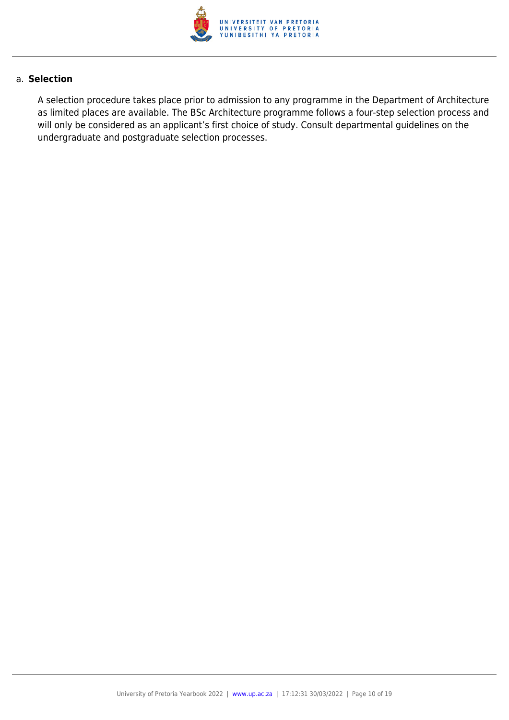

#### a. **Selection**

A selection procedure takes place prior to admission to any programme in the Department of Architecture as limited places are available. The BSc Architecture programme follows a four-step selection process and will only be considered as an applicant's first choice of study. Consult departmental guidelines on the undergraduate and postgraduate selection processes.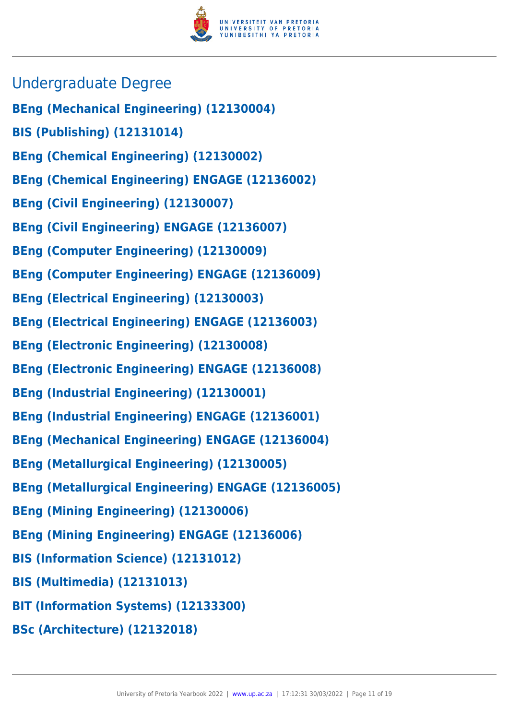

- Undergraduate Degree
- **BEng (Mechanical Engineering) (12130004)**
- **BIS (Publishing) (12131014)**
- **BEng (Chemical Engineering) (12130002)**
- **BEng (Chemical Engineering) ENGAGE (12136002)**
- **BEng (Civil Engineering) (12130007)**
- **BEng (Civil Engineering) ENGAGE (12136007)**
- **BEng (Computer Engineering) (12130009)**
- **BEng (Computer Engineering) ENGAGE (12136009)**
- **BEng (Electrical Engineering) (12130003)**
- **BEng (Electrical Engineering) ENGAGE (12136003)**
- **BEng (Electronic Engineering) (12130008)**
- **BEng (Electronic Engineering) ENGAGE (12136008)**
- **BEng (Industrial Engineering) (12130001)**
- **BEng (Industrial Engineering) ENGAGE (12136001)**
- **BEng (Mechanical Engineering) ENGAGE (12136004)**
- **BEng (Metallurgical Engineering) (12130005)**
- **BEng (Metallurgical Engineering) ENGAGE (12136005)**
- **BEng (Mining Engineering) (12130006)**
- **BEng (Mining Engineering) ENGAGE (12136006)**
- **BIS (Information Science) (12131012)**
- **BIS (Multimedia) (12131013)**
- **BIT (Information Systems) (12133300)**
- **BSc (Architecture) (12132018)**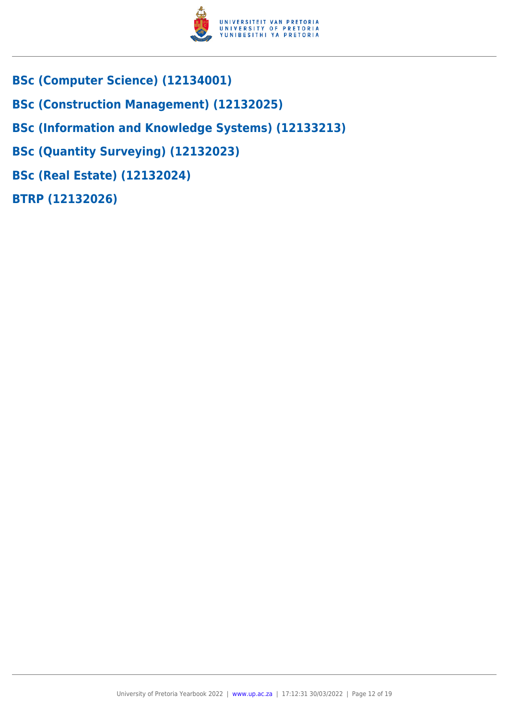

- **BSc (Computer Science) (12134001)**
- **BSc (Construction Management) (12132025)**
- **BSc (Information and Knowledge Systems) (12133213)**
- **BSc (Quantity Surveying) (12132023)**
- **BSc (Real Estate) (12132024)**
- **BTRP (12132026)**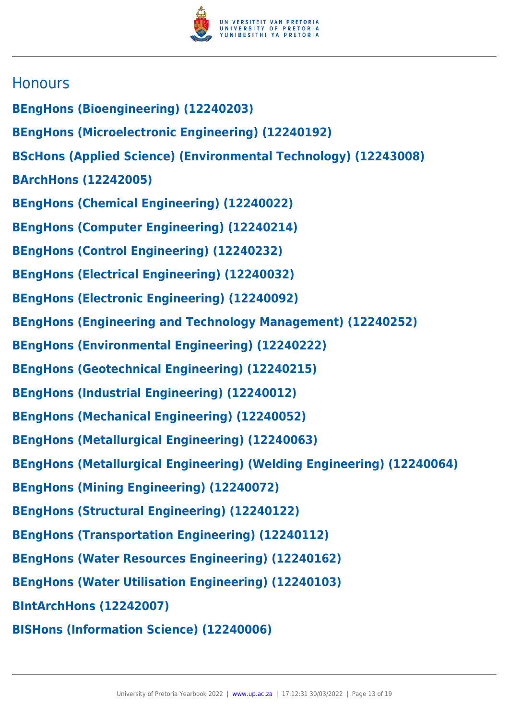

# **Honours**

- **BEngHons (Bioengineering) (12240203)**
- **BEngHons (Microelectronic Engineering) (12240192)**
- **BScHons (Applied Science) (Environmental Technology) (12243008)**
- **BArchHons (12242005)**
- **BEngHons (Chemical Engineering) (12240022)**
- **BEngHons (Computer Engineering) (12240214)**
- **BEngHons (Control Engineering) (12240232)**
- **BEngHons (Electrical Engineering) (12240032)**
- **BEngHons (Electronic Engineering) (12240092)**
- **BEngHons (Engineering and Technology Management) (12240252)**
- **BEngHons (Environmental Engineering) (12240222)**
- **BEngHons (Geotechnical Engineering) (12240215)**
- **BEngHons (Industrial Engineering) (12240012)**
- **BEngHons (Mechanical Engineering) (12240052)**
- **BEngHons (Metallurgical Engineering) (12240063)**
- **BEngHons (Metallurgical Engineering) (Welding Engineering) (12240064)**
- **BEngHons (Mining Engineering) (12240072)**
- **BEngHons (Structural Engineering) (12240122)**
- **BEngHons (Transportation Engineering) (12240112)**
- **BEngHons (Water Resources Engineering) (12240162)**
- **BEngHons (Water Utilisation Engineering) (12240103)**
- **BIntArchHons (12242007)**
- **BISHons (Information Science) (12240006)**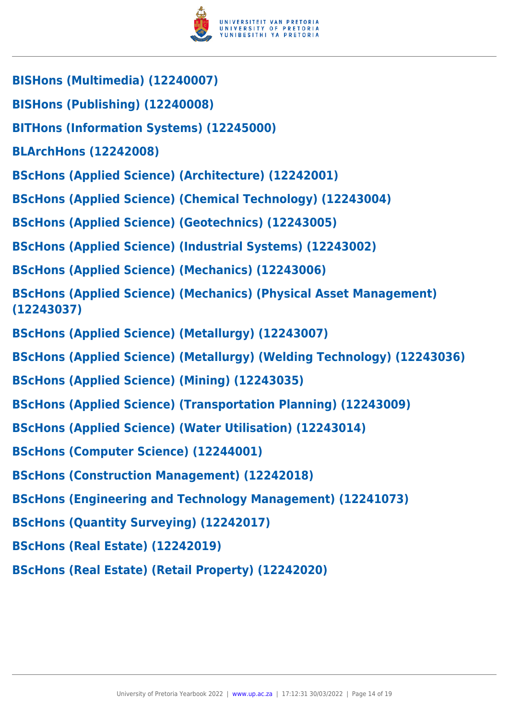

- **BISHons (Multimedia) (12240007)**
- **BISHons (Publishing) (12240008)**
- **BITHons (Information Systems) (12245000)**
- **BLArchHons (12242008)**
- **BScHons (Applied Science) (Architecture) (12242001)**
- **BScHons (Applied Science) (Chemical Technology) (12243004)**
- **BScHons (Applied Science) (Geotechnics) (12243005)**
- **BScHons (Applied Science) (Industrial Systems) (12243002)**
- **BScHons (Applied Science) (Mechanics) (12243006)**
- **BScHons (Applied Science) (Mechanics) (Physical Asset Management) (12243037)**
- **BScHons (Applied Science) (Metallurgy) (12243007)**
- **BScHons (Applied Science) (Metallurgy) (Welding Technology) (12243036)**
- **BScHons (Applied Science) (Mining) (12243035)**
- **BScHons (Applied Science) (Transportation Planning) (12243009)**
- **BScHons (Applied Science) (Water Utilisation) (12243014)**
- **BScHons (Computer Science) (12244001)**
- **BScHons (Construction Management) (12242018)**
- **BScHons (Engineering and Technology Management) (12241073)**
- **BScHons (Quantity Surveying) (12242017)**
- **BScHons (Real Estate) (12242019)**
- **BScHons (Real Estate) (Retail Property) (12242020)**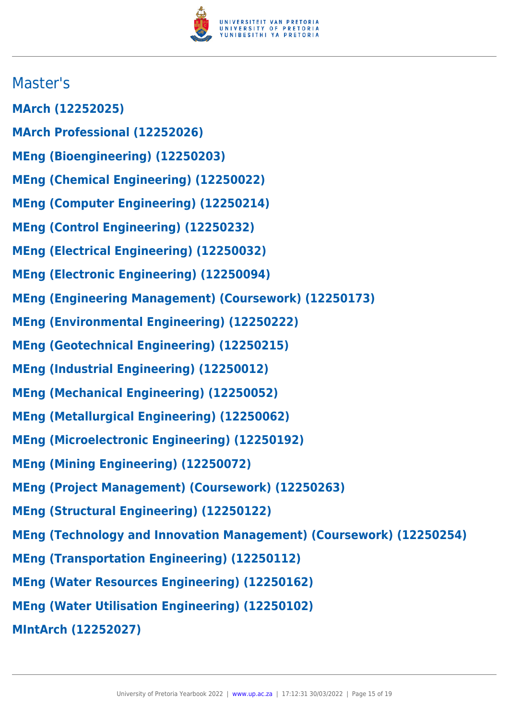

# Master's

- **MArch (12252025)**
- **MArch Professional (12252026)**
- **MEng (Bioengineering) (12250203)**
- **MEng (Chemical Engineering) (12250022)**
- **MEng (Computer Engineering) (12250214)**
- **MEng (Control Engineering) (12250232)**
- **MEng (Electrical Engineering) (12250032)**
- **MEng (Electronic Engineering) (12250094)**
- **MEng (Engineering Management) (Coursework) (12250173)**
- **MEng (Environmental Engineering) (12250222)**
- **MEng (Geotechnical Engineering) (12250215)**
- **MEng (Industrial Engineering) (12250012)**
- **MEng (Mechanical Engineering) (12250052)**
- **MEng (Metallurgical Engineering) (12250062)**
- **MEng (Microelectronic Engineering) (12250192)**
- **MEng (Mining Engineering) (12250072)**
- **MEng (Project Management) (Coursework) (12250263)**
- **MEng (Structural Engineering) (12250122)**
- **MEng (Technology and Innovation Management) (Coursework) (12250254)**
- **MEng (Transportation Engineering) (12250112)**
- **MEng (Water Resources Engineering) (12250162)**
- **MEng (Water Utilisation Engineering) (12250102)**
- **MIntArch (12252027)**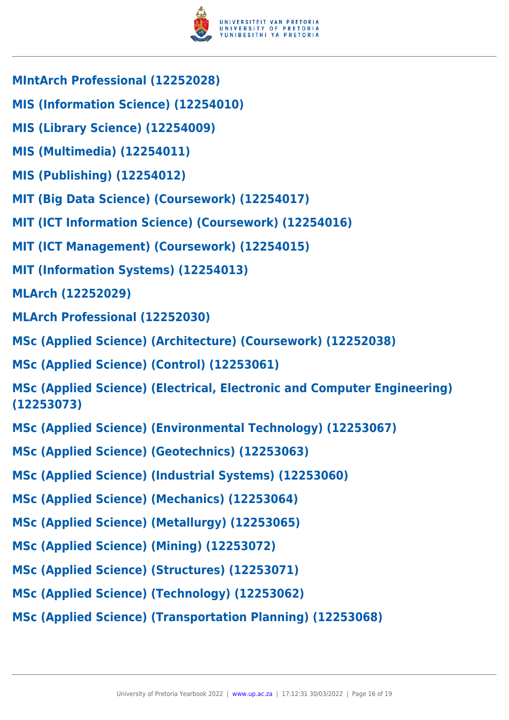

- **MIntArch Professional (12252028)**
- **MIS (Information Science) (12254010)**
- **MIS (Library Science) (12254009)**
- **MIS (Multimedia) (12254011)**
- **MIS (Publishing) (12254012)**
- **MIT (Big Data Science) (Coursework) (12254017)**
- **MIT (ICT Information Science) (Coursework) (12254016)**
- **MIT (ICT Management) (Coursework) (12254015)**
- **MIT (Information Systems) (12254013)**
- **MLArch (12252029)**
- **MLArch Professional (12252030)**
- **MSc (Applied Science) (Architecture) (Coursework) (12252038)**
- **MSc (Applied Science) (Control) (12253061)**
- **MSc (Applied Science) (Electrical, Electronic and Computer Engineering) (12253073)**
- **MSc (Applied Science) (Environmental Technology) (12253067)**
- **MSc (Applied Science) (Geotechnics) (12253063)**
- **MSc (Applied Science) (Industrial Systems) (12253060)**
- **MSc (Applied Science) (Mechanics) (12253064)**
- **MSc (Applied Science) (Metallurgy) (12253065)**
- **MSc (Applied Science) (Mining) (12253072)**
- **MSc (Applied Science) (Structures) (12253071)**
- **MSc (Applied Science) (Technology) (12253062)**
- **MSc (Applied Science) (Transportation Planning) (12253068)**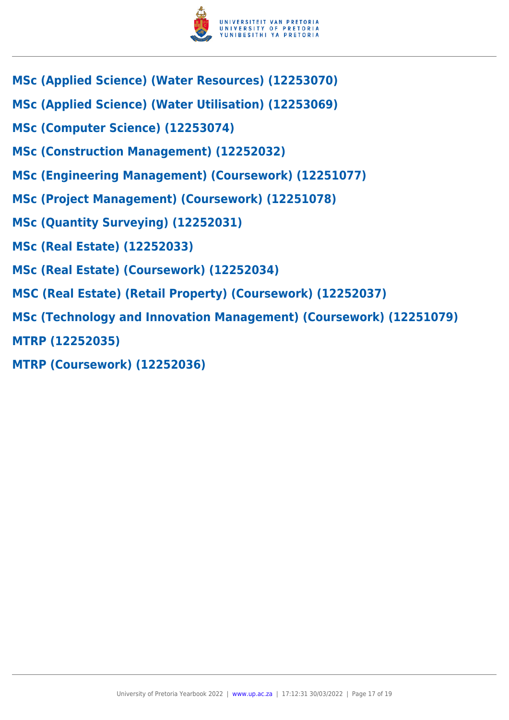

- **MSc (Applied Science) (Water Resources) (12253070)**
- **MSc (Applied Science) (Water Utilisation) (12253069)**
- **MSc (Computer Science) (12253074)**
- **MSc (Construction Management) (12252032)**
- **MSc (Engineering Management) (Coursework) (12251077)**
- **MSc (Project Management) (Coursework) (12251078)**
- **MSc (Quantity Surveying) (12252031)**
- **MSc (Real Estate) (12252033)**
- **MSc (Real Estate) (Coursework) (12252034)**
- **MSC (Real Estate) (Retail Property) (Coursework) (12252037)**
- **MSc (Technology and Innovation Management) (Coursework) (12251079)**
- **MTRP (12252035)**
- **MTRP (Coursework) (12252036)**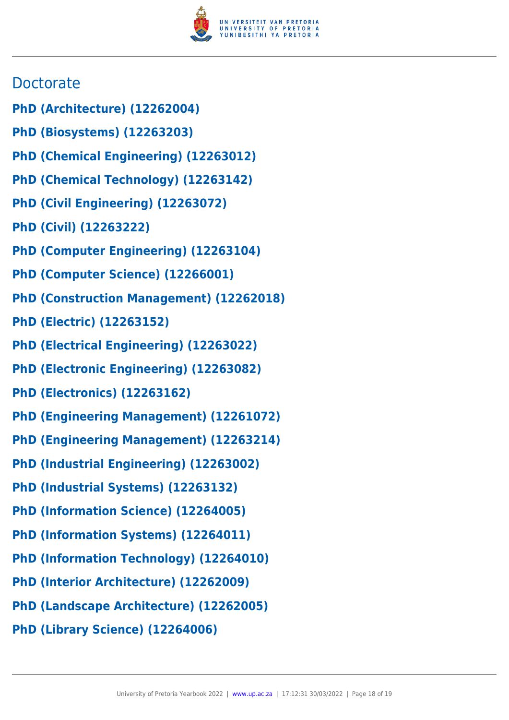

# **Doctorate**

- **PhD (Architecture) (12262004)**
- **PhD (Biosystems) (12263203)**
- **PhD (Chemical Engineering) (12263012)**
- **PhD (Chemical Technology) (12263142)**
- **PhD (Civil Engineering) (12263072)**
- **PhD (Civil) (12263222)**
- **PhD (Computer Engineering) (12263104)**
- **PhD (Computer Science) (12266001)**
- **PhD (Construction Management) (12262018)**
- **PhD (Electric) (12263152)**
- **PhD (Electrical Engineering) (12263022)**
- **PhD (Electronic Engineering) (12263082)**
- **PhD (Electronics) (12263162)**
- **PhD (Engineering Management) (12261072)**
- **PhD (Engineering Management) (12263214)**
- **PhD (Industrial Engineering) (12263002)**
- **PhD (Industrial Systems) (12263132)**
- **PhD (Information Science) (12264005)**
- **PhD (Information Systems) (12264011)**
- **PhD (Information Technology) (12264010)**
- **PhD (Interior Architecture) (12262009)**
- **PhD (Landscape Architecture) (12262005)**
- **PhD (Library Science) (12264006)**